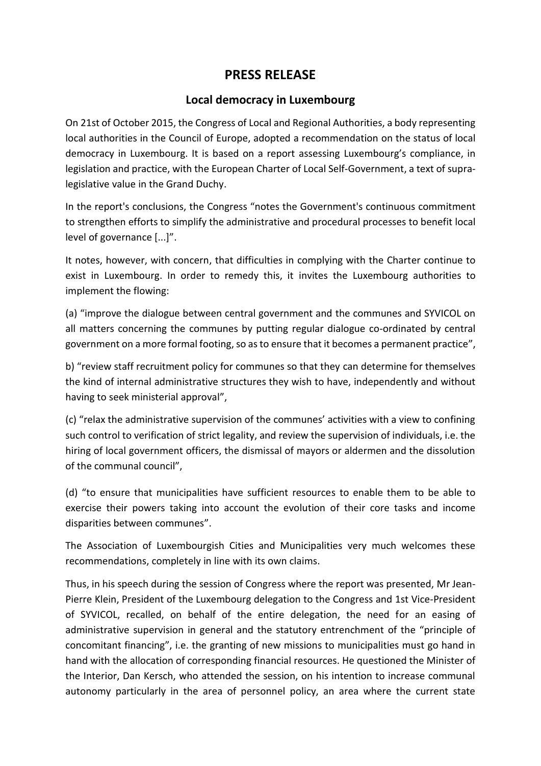## **PRESS RELEASE**

## **Local democracy in Luxembourg**

On 21st of October 2015, the Congress of Local and Regional Authorities, a body representing local authorities in the Council of Europe, adopted a recommendation on the status of local democracy in Luxembourg. It is based on a report assessing Luxembourg's compliance, in legislation and practice, with the European Charter of Local Self-Government, a text of supralegislative value in the Grand Duchy.

In the report's conclusions, the Congress "notes the Government's continuous commitment to strengthen efforts to simplify the administrative and procedural processes to benefit local level of governance [...]".

It notes, however, with concern, that difficulties in complying with the Charter continue to exist in Luxembourg. In order to remedy this, it invites the Luxembourg authorities to implement the flowing:

(a) "improve the dialogue between central government and the communes and SYVICOL on all matters concerning the communes by putting regular dialogue co-ordinated by central government on a more formal footing, so as to ensure that it becomes a permanent practice",

b) "review staff recruitment policy for communes so that they can determine for themselves the kind of internal administrative structures they wish to have, independently and without having to seek ministerial approval",

(c) "relax the administrative supervision of the communes' activities with a view to confining such control to verification of strict legality, and review the supervision of individuals, i.e. the hiring of local government officers, the dismissal of mayors or aldermen and the dissolution of the communal council",

(d) "to ensure that municipalities have sufficient resources to enable them to be able to exercise their powers taking into account the evolution of their core tasks and income disparities between communes".

The Association of Luxembourgish Cities and Municipalities very much welcomes these recommendations, completely in line with its own claims.

Thus, in his speech during the session of Congress where the report was presented, Mr Jean-Pierre Klein, President of the Luxembourg delegation to the Congress and 1st Vice-President of SYVICOL, recalled, on behalf of the entire delegation, the need for an easing of administrative supervision in general and the statutory entrenchment of the "principle of concomitant financing", i.e. the granting of new missions to municipalities must go hand in hand with the allocation of corresponding financial resources. He questioned the Minister of the Interior, Dan Kersch, who attended the session, on his intention to increase communal autonomy particularly in the area of personnel policy, an area where the current state